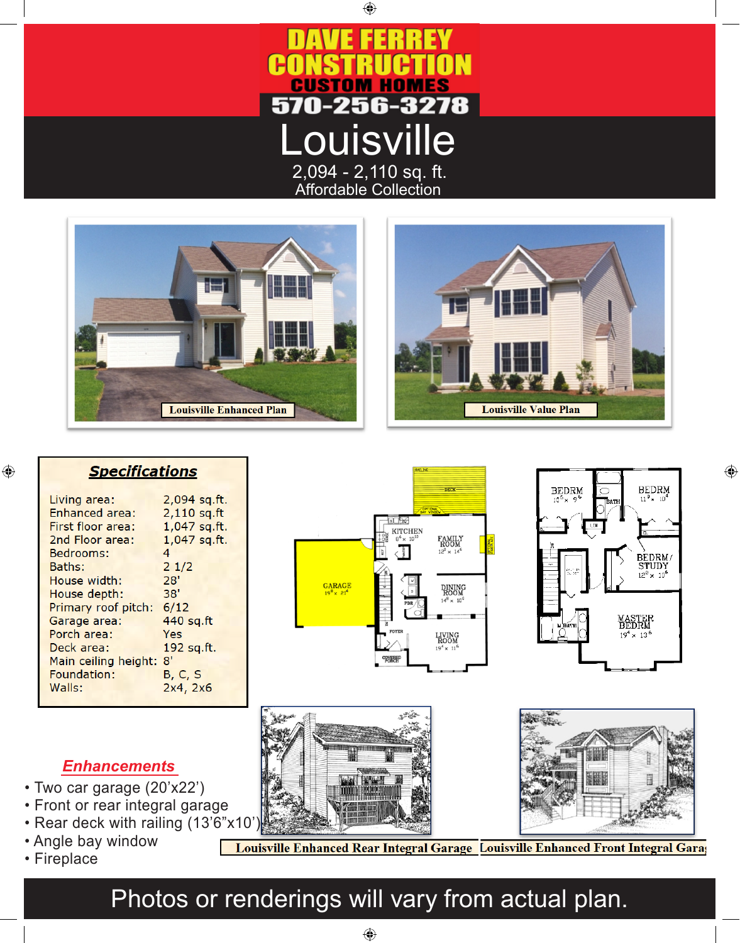

 $\bigoplus$ 





|  |  |  |  | <b>Specifications</b> |
|--|--|--|--|-----------------------|
|  |  |  |  |                       |

| Living area:          | 2,094 sq.ft.  |
|-----------------------|---------------|
| <b>Enhanced area:</b> | $2,110$ sq.ft |
| First floor area:     | 1,047 sq.ft.  |
| 2nd Floor area:       | 1,047 sq.ft.  |
| Bedrooms:             | 4             |
| Baths:                | 21/2          |
| House width:          | 28'           |
| House depth:          | 38'           |
| Primary roof pitch:   | 6/12          |
| Garage area:          | 440 sq.ft     |
| Porch area:           | Yes           |
| Deck area:            | 192 sq.ft.    |
| Main ceiling height:  | 8'            |
| Foundation:           | B, C, S       |
| Walls:                | 2x4, 2x6      |
|                       |               |





 $\bigoplus$ 





#### *Enhancements*

- Two car garage (20'x22')
- Front or rear integral garage
- Rear deck with railing (13'6"x10
- Angle bay window
- Fireplace

 $\bigoplus$ 

Louisville Enhanced Rear Integral Garage Louisville Enhanced Front Integral Garag

# Photos or renderings will vary from actual plan.